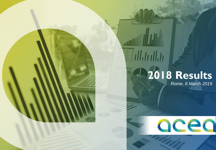# **2018 Results**

acea

**Alla** India

*Rome, 6 March 2019*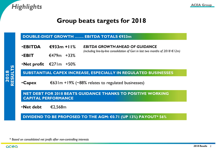

#### **Group beats targets for 2018**

#### **DOUBLE-DIGIT GROWTH ……. EBITDA TOTALS €933m**

- •**EBITDA €933m +11%** *EBITDA GROWTH AHEAD OF GUIDANCE (including line-by-line consolidation of Gori in last two months of 2018 €12m)*
- •**EBIT** €479m +33%
- •**Net profit** €271m +50%

**SUBSTANTIAL CAPEX INCREASE, ESPECIALLY IN REGULATED BUSINESSES** 

•**Capex** €631m +19% (~88% relates to regulated businesses)

**NET DEBT FOR 2018 BEATS GUIDANCE THANKS TO POSITIVE WORKING CAPITAL PERFORMANCE**

•**Net debt** €2,568m

**DIVIDEND TO BE PROPOSED TO THE AGM: €0.71 (UP 13%) PAYOUT\* 56%**

*\* Based on consolidated net profit after non-controlling interests*

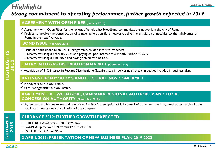## *Highlights* **ACEA Group**

#### *Strong commitment to operating performance, further growth expected in 2019*

#### **AGREEMENT WITH OPEN FIBER (January 2018)**

- $\checkmark$  Agreement with Open Fiber for the rollout of an ultrafast broadband communications network in the city of Rome.
- $\checkmark$  Project to involve the construction of a next generation fibre network, delivering ultrafast connectivity to the inhabitants of Rome in the next five years.

#### . **BOND ISSUE (February 2018)**

- $\checkmark$  Issue of bonds under  $\hat{\epsilon}$ Ibn EMTN programme, divided into two tranches:
	- €300m, maturing 8 February 2023 and paying coupon interest of 3-month Euribor +0.37%;
	- €700m, maturing 8 June 2027 and paying a fixed rate of 1.5%.

#### **ENTRY INTO GAS DISTRIBUTION MARKET (October 2018)**

 $\checkmark$  Acquisition of 51% interest in Pescara Distribuzione Gas: first step in delivering strategic initiatives included in business plan.

#### **RATINGS FROM MOODY'S AND FITCH RATINGS CONFIRMED**

- $\checkmark$  Moody's: Baa2 outlook stable.
- $\checkmark$  Fitch Ratings: BBB+ outlook stable.

#### **AGREEMENT BETWEEN GORI, CAMPANIA REGIONAL AUTHORITY AND LOCAL CONCESSION AUTHORITY (November 2018)**

 $\checkmark$  Agreement establishes terms and conditions for Gori's assumption of full control of plants and the integrated water service in the local area. Line-by-line consolidation of the company.

#### **GUIDANCE 2019: FURTHER GROWTH EXPECTED**

- **EBITDA** +5%/6% versus 2018 (€933m).
- **CAPEX** up by over 10% versus €631m of 2018.
- **NET DEBT** €2.85-2.95bn.

#### **2 APRIL 2019: PRESENTATION OF NEW BUSINESS PLAN 2019-2022**

#### acea

**GUIDANCE GUIDANCE**<br>2019

*2018 Results 3*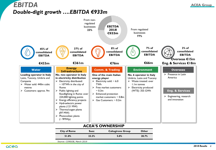

#### **ACEA'S OWNERSHIP**

| <b>City of Rome</b> | Suez  | <b>Caltagirone Group</b> | <b>Other</b> |  |
|---------------------|-------|--------------------------|--------------|--|
| 51.0%               | 23.3% | 5.0%                     | 20.7%        |  |

*Source: CONSOB, March 2019*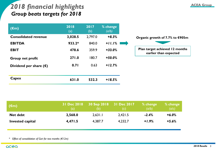### **ACEA Group** *2018 financial highlights Group beats targets for 2018*

| $(\epsilon m)$                  | 2018<br>(a) | 2017<br>(b) | % change<br>(a/b) |                                                         |
|---------------------------------|-------------|-------------|-------------------|---------------------------------------------------------|
| <b>Consolidated revenue</b>     | 3,028.5     | 2,797.0     | $+8.3%$           | Organic growth of 7.7% to €905m                         |
| <b>EBITDA</b>                   | $933.2*$    | 840.0       | $+11.1%$          |                                                         |
| <b>EBIT</b>                     | 478.6       | 359.9       | $+33.0%$          | Plan target achieved 12 months<br>earlier than expected |
| Group net profit                | 271.0       | 180.7       | $+50.0\%$         |                                                         |
| Dividend per share $(\epsilon)$ | 0.71        | 0.63        | $+12.7%$          |                                                         |
| Capex                           | 631.0       | 532.3       | $+18.5%$          |                                                         |

| $(\epsilon m)$          |         | (b)     | 31 Dec 2018 30 Sep 2018 31 Dec 2017 % change | (a/b)   | $%$ change<br>(a/c) |
|-------------------------|---------|---------|----------------------------------------------|---------|---------------------|
| <b>Net debt</b>         | 2,568.0 | 2,631.1 | 2.421.5                                      | $-2.4%$ | $+6.0%$             |
| <b>Invested capital</b> | 4,471.5 | 4,387.7 | 4,232.7                                      | $+1.9%$ | $+5.6%$             |

*\* Effect of consolidation of Gori for two months (€12m)*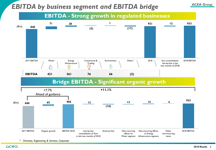## **EBITDA by business segment and EBITDA bridge** ACEA Group



*\* Overseas, Engineering & Services, Corporate*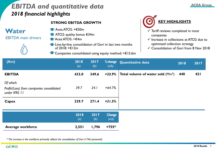## *ACEA Group ACEA Group 2018 financial highlights*

#### **STRONG EBITDA GROWTH**

#### **Water**

EBITDA main drivers



- Acea ATO2: +€50m
- **ATO2: quality bonus €34m**
- Acea ATO5: +€4m
- **The-by-line consolidation of Gori in last two months** of 2018: +€12m
	- Companies consolidated using equity method: +€15.6m



- $\checkmark$  Tariff reviews completed in most companies
- $\checkmark$  Increase in collections at ATO2 due to optimised collection strategy
- Consolidation of Gori from 8 Nov 2018

| $(\epsilon m)$                                                          | 2018<br>(a) | 2017<br>(b) | % change<br>(a/b)        | <b>Quantitative data</b>                  | 2018 | 2017       |
|-------------------------------------------------------------------------|-------------|-------------|--------------------------|-------------------------------------------|------|------------|
| <b>EBITDA</b>                                                           | 433.0       | 349.6       | $+23.9%$                 | <b>Total volume of water sold</b> $(Mm3)$ | 440  | <b>421</b> |
| Of which:<br>Profit/(Loss) from companies consolidated<br>under IFRS 11 | 39.7        | 24.1        | $+64.7%$                 |                                           |      |            |
| Capex                                                                   | 329.7       | 271.4       | $+21.5%$                 |                                           |      |            |
|                                                                         | 2018<br>(a) | 2017<br>(b) | <b>Change</b><br>$(a-b)$ |                                           |      |            |
| <b>Average workforce</b>                                                | 2,551       | 1,796       | $+755*$                  |                                           |      |            |

*\* The increase in the workforce primarily reflects the consolidation of Gori (+746 personnel)*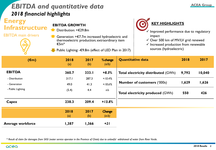## *EBITDA and quantitative data 2018 financial highlights*

#### **Energy Infrastructure**

EBITDA main drivers

**EBITDA GROWTH**

- Distribution: +€29.8m
- Generation: +€7.7m increased hydroelectric and thermoelectric production; extraordinary item €5m\*
	- Public Lighting: -€9.8m (effect of LED Plan in 2017)



- Improved performance due to regulatory impact
- $\checkmark$  Over 500 km of MV/LV grid renewed
- $\checkmark$  Increased production from renewable sources (hydroelectric)

| $(\epsilon m)$           | 2018<br>(a) | 2017<br>(b) | %change<br>(a/b)         | <b>Quantitative data</b>                   | 2018  | 2017   |
|--------------------------|-------------|-------------|--------------------------|--------------------------------------------|-------|--------|
| <b>EBITDA</b>            | 360.7       | 333.I       | $+8.3%$                  | <b>Total electricity distributed (GWh)</b> | 9,792 | 10,040 |
| - Distribution           | 317.1       | 287.3       | $+10.4%$                 |                                            |       |        |
| - Generation             | 49.0        | 41.3        | $+18.6%$                 | <b>Number of customers ('000s)</b>         | 1,629 | 1,626  |
| - Public Lighting        | (5.4)       | 4.4         | n/s                      | <b>Total electricity produced (GWh)</b>    | 550   | 426    |
| Capex                    | 238.3       | 209.4       | $+13.8%$                 |                                            |       |        |
|                          | 2018<br>(a) | 2017<br>(b) | <b>Change</b><br>$(a-b)$ |                                            |       |        |
| <b>Average workforce</b> | 1,387       | 1,366       | $+21$                    |                                            |       |        |

*\* Result of claim for damages from SASI (water service operator in the Province of Chieti) due to unlawful withdrawal of water from River Verde.*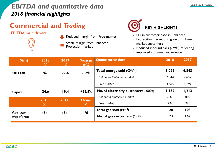## *EBITDA and quantitative data 2018 financial highlights*

## **Commercial and** *Trading*

EBITDA main drivers

Reduced margin from Free market





- $\checkmark$  Fall in customer base in Enhanced Protection market and growth in Free market customers
- $\checkmark$  Reduced inbound calls (-29%) reflecting improved customer experience

| $(\epsilon m)$ | 2018<br>(a) | 2017<br>(b) | % change<br>(a/b)                   | <b>Quantitative data</b>             | 2018       | 2017  |
|----------------|-------------|-------------|-------------------------------------|--------------------------------------|------------|-------|
| <b>EBITDA</b>  | 76.1        | 77.6        | $-1.9%$                             | <b>Total energy sold (GWh)</b>       | 6,029      | 6,843 |
|                |             |             |                                     | <b>Enhanced Protection market</b>    | 2,344      | 2,652 |
|                |             |             |                                     | Free market                          | 3,685      | 4,191 |
| Capex          | 24.6        | 19.4        | $+26.8%$                            | No. of electricity customers ('000s) | 1,162      | 1,213 |
|                |             |             |                                     | <b>Enhanced Protection market</b>    | 831        | 893   |
|                | 2018<br>(a) | 2017<br>(b) | Change<br>$(a-b)$                   | Free market                          | 331        | 320   |
| <b>Average</b> | 464         | 474         | $-10$                               | <b>Total gas sold</b> ( $Mm3$ )      | <b>128</b> | 103   |
| workforce      |             |             | <b>No. of gas customers ('000s)</b> | 173                                  | 167        |       |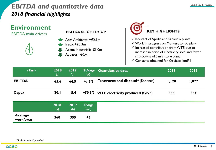## *EBITDA and quantitative data 2018 financial highlights*



**KEY HIGHLIGHTS**

- $\checkmark$  Re-start of Aprilia and Sabaudia plants
- Work in progress on Monterotondo plant
- $\checkmark$  Increased contribution from WTE due to increase in price of electricity sold and fewer shutdowns of San Vittore plant

 $\checkmark$  Consents obtained for Orvieto landfill

| $(\epsilon m)$              | 2018<br>(a) | 2017<br>(b) | % change<br>(a/b) | <b>Quantitative data</b>                 | 2018  | 2017  |
|-----------------------------|-------------|-------------|-------------------|------------------------------------------|-------|-------|
| <b>EBITDA</b>               | 65.6        | 64.5        | $+1.7%$           | <b>Treatment and disposal*</b> (Ktonnes) | 1,120 | 1,077 |
| Capex                       | 20.1        | 15.4        | +30.5%            | <b>WTE electricity produced (GWh)</b>    | 355   | 354   |
|                             | 2018<br>(a) | 2017<br>(b) | Change<br>$(a-b)$ |                                          |       |       |
| <b>Average</b><br>workforce | 360         | 355         | $+5$              |                                          |       |       |

*\*Includes ash disposed of*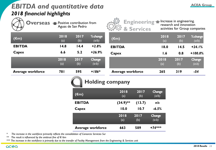## **ACEA Group** *EBITDA and quantitative data 2018 financial highlights*



**Overseas • Positive contribution from** Aguas de San Pedro



Increase in engineering. research and innovation activities for Group companies

| $(\epsilon m)$           | 2018<br>(a) | 2017<br>(b) | %change<br>(a/b)         | $(\epsilon m)$           | 2018<br>(a) | 2017<br>(b) | %change<br>(a/b)         |
|--------------------------|-------------|-------------|--------------------------|--------------------------|-------------|-------------|--------------------------|
| <b>EBITDA</b>            | 14.8        | 14.4        | $+2.8%$                  | <b>EBITDA</b>            | 18.0        | 14.5        | $+24.1%$                 |
| Capex                    | 6.6         | 5.2         | $+26.9%$                 | <b>Capex</b>             | 1.6         | 0.8         | $+100.0%$                |
|                          | 2018<br>(a) | 2017<br>(b) | <b>Change</b><br>$(a-b)$ |                          | 2018<br>(a) | 2017<br>(b) | <b>Change</b><br>$(a-b)$ |
| <b>Average workforce</b> | 78 I        | 595         | $+186*$                  | <b>Average workforce</b> | 265         | 319         | -54                      |

## **Holding company**

| $(\epsilon m)$           | 2018<br>(a) | 2017<br>(b) | <b>Change</b><br>(a/b)   |
|--------------------------|-------------|-------------|--------------------------|
| <b>EBITDA</b>            | $(34.9)$ ** | (13.7)      | n/s                      |
| Capex                    | 10.0        | 10.7        | $-6.5%$                  |
|                          | 2018<br>(a) | 2017<br>(b) | <b>Change</b><br>$(a-b)$ |
| <b>Average workforce</b> | 663         | 589         | $+74***$                 |

*\* The increase in the workforce primarily reflects the consolidation of Consorcio Servicios Sur*

*\*\* The result is influenced by the antitrust fine of €16m*

*\*\*\* The increase in the workforce is primarily due to the transfer of Facility Management from the Engineering & Services unit*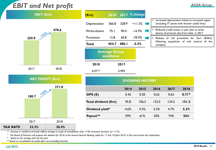## *EBIT and Net profit* **ACEA Group**

|       | EBIT $(\epsilon m)$    |       |  |
|-------|------------------------|-------|--|
| 359.9 | $x33^{0 07 }$          | 478.6 |  |
| 2017  |                        | 2018  |  |
|       | <b>NET PROFIT (€m)</b> |       |  |
| 180.7 | x50007                 | 271.0 |  |

| $(\epsilon m)$   |                                   |       | 2018 2017 % change      |         |                                  |
|------------------|-----------------------------------|-------|-------------------------|---------|----------------------------------|
| Depreciation     | 366.8                             | 328.9 | $+11.5%$                |         | Increased dep<br>(including IT a |
| Write-downs      | 75.I                              | 90.4  | $-16.9%$                | ✓       | Reduced cred<br>downs of amo     |
| Provisions       | 12.8                              | 60.8  | $-78.9%$                |         | Release of 1                     |
| <b>Total</b>     | 454.7                             | 480.I | $-5.3%$                 | company | following acc                    |
|                  | <b>Average Group</b><br>workforce |       |                         |         |                                  |
| 2018             |                                   | 2017  |                         |         |                                  |
| $6,471^$         |                                   | 5,494 |                         |         |                                  |
|                  |                                   |       | <b>DIVIDEND HISTORY</b> |         |                                  |
|                  |                                   | 2014  | 2015                    | 2016    | 20                               |
| DPS $(\epsilon)$ |                                   | 0.45  | 0.50                    | 0.62    | 0.0                              |
|                  |                                   |       |                         |         |                                  |

| $\checkmark$ Increased depreciation linked to increased capex<br>(including IT assets with shorter useful lives) |
|------------------------------------------------------------------------------------------------------------------|
| $\checkmark$ Reduced credit losses, in part due to write-<br>downs of amounts due from Gala in 2017              |

risk provisions for Gori ( $€44m$ ) quisition of sole control of the

|                                |      | <b>DIVIDEND HISTORY</b> |       |       |              |
|--------------------------------|------|-------------------------|-------|-------|--------------|
|                                | 2014 | 2015                    | 2016  | 2017  | 2018         |
| DPS $(\epsilon)$               | 0.45 | 0.50                    | 0.62  | 0.63  | $0.71^\circ$ |
| Total dividend ( $\epsilon$ m) | 95.8 | 106.5                   | 132.0 | 134.2 | 151.2        |
| Dividend yield*                | 4.6% | 4.2%                    | 5.2%  | 4.7%  | 5.3%         |
| Payout**                       | 59%  | 61%                     | 50%   | 74%   | 56%          |

*^ Increase in workforce primarily reflects changes in scope of consolidation (Gori +746; Consorcio Servicios Sur +172)* 

 $\circ$ *The Board of Directors will propose the dividend for 2018 at the Annual General Meeting called for 17 and 18 April 2019, in first and second call, respectively*

*\* Based on the average price for the year*

*\*\* Based on consolidated net profit after non-controlling interests*

**TAX RATE 33.3% 30.4%**

2017 2018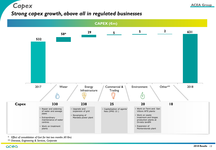

#### *Strong capex growth, above all in regulated businesses*



*\* Effect of consolidation of Gori for last two months (€10m)*

*\*\* Overseas, Engineering & Services, Corporate*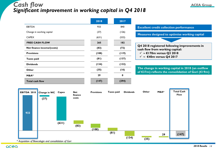#### *Cash flow* <u>**ACEA Group**</u> *Significant improvement in working capital in Q4 2018*

|                            | 2018  | 2017  |                                                                                                         |
|----------------------------|-------|-------|---------------------------------------------------------------------------------------------------------|
| <b>EBITDA</b>              | 933   | 840   | <b>Excellent credit collection performance</b>                                                          |
| Change in working capital  | (37)  | (126) | Measures designed to optimise working capital                                                           |
| <b>CAPEX</b>               | (631) | (532) |                                                                                                         |
| <b>FREE CASH FLOW</b>      | 265   | 182   |                                                                                                         |
| Net finance income/(costs) | (83)  | (72)  | Q4 2018 registered following improvements in<br>cash flow from working capital:                         |
| <b>Provisions</b>          | (108) | (119) | $\checkmark$ ~ €170m versus Q3 2018                                                                     |
| Taxes paid                 | (81)  | (137) | $\checkmark$ ~ €40m versus Q4 2017                                                                      |
| <b>Dividends</b>           | (134) | (132) |                                                                                                         |
| <b>Other</b>               | (35)  | (16)  | The change in working capital in 2018 (an outflow<br>of €37m) reflects the consolidation of Gori (€19m) |
| $M&A*$                     | 29    | 0     |                                                                                                         |
| <b>Total cash flow</b>     | (147) | (294) |                                                                                                         |

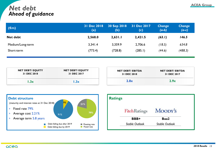#### **ACEA Group** *Net debt Ahead of guidance*

| $(\epsilon m)$   | 31 Dec 2018<br>(a) | 30 Sep 2018<br>(b) | 31 Dec 2017<br>(c) | Change<br>(a-b) | <b>Change</b><br>(a-c) |
|------------------|--------------------|--------------------|--------------------|-----------------|------------------------|
| Net debt         | 2,568.0            | 2,631.1            | 2,421.5            | (63.1)          | 146.5                  |
| Medium/Long-term | 3,341.4            | 3,359.9            | 2,706.6            | (18.5)          | 634.8                  |
| Short-term       | (773.4)            | (728.8)            | (285.1)            | (44.6)          | (488.3)                |

| <b>NET DEBT/ EQUITY</b> | <b>NET DEBT/ EQUITY</b> | <b>NET DEBT/ EBITDA</b> | <b>NET DEBT/ EBITDA</b> |
|-------------------------|-------------------------|-------------------------|-------------------------|
| 31 DEC 2018             | 31 DEC 2017             | 31 DEC 2018             | 31 DEC 2017             |
| .3x                     | 3x                      | 2.8x                    | 2.9x                    |



| <b>Ratings</b> |                       |                       |
|----------------|-----------------------|-----------------------|
|                | <b>FitchRatings</b>   | Moody's               |
|                | BBB+                  | Baa2                  |
|                | <b>Stable Outlook</b> | <b>Stable Outlook</b> |
|                |                       |                       |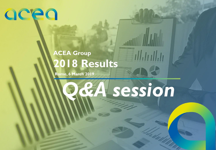## acea

## **ACEA Group 2018 Results**

**Rome, 6 March 2019**

# *Q&A session*

*2018 Results 16*